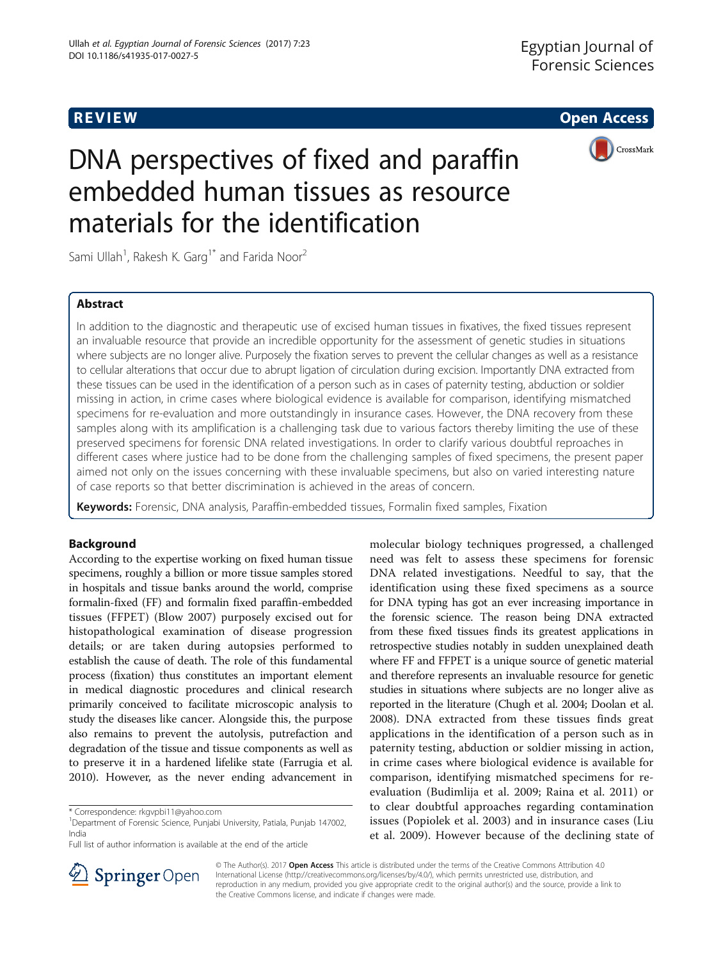**REVIEW CONSTRUCTION CONSTRUCTION CONSTRUCTS** 



# DNA perspectives of fixed and paraffin embedded human tissues as resource materials for the identification

Sami Ullah<sup>1</sup>, Rakesh K. Garg<sup>1\*</sup> and Farida Noor<sup>2</sup>

# Abstract

In addition to the diagnostic and therapeutic use of excised human tissues in fixatives, the fixed tissues represent an invaluable resource that provide an incredible opportunity for the assessment of genetic studies in situations where subjects are no longer alive. Purposely the fixation serves to prevent the cellular changes as well as a resistance to cellular alterations that occur due to abrupt ligation of circulation during excision. Importantly DNA extracted from these tissues can be used in the identification of a person such as in cases of paternity testing, abduction or soldier missing in action, in crime cases where biological evidence is available for comparison, identifying mismatched specimens for re-evaluation and more outstandingly in insurance cases. However, the DNA recovery from these samples along with its amplification is a challenging task due to various factors thereby limiting the use of these preserved specimens for forensic DNA related investigations. In order to clarify various doubtful reproaches in different cases where justice had to be done from the challenging samples of fixed specimens, the present paper aimed not only on the issues concerning with these invaluable specimens, but also on varied interesting nature of case reports so that better discrimination is achieved in the areas of concern.

Keywords: Forensic, DNA analysis, Paraffin-embedded tissues, Formalin fixed samples, Fixation

# Background

According to the expertise working on fixed human tissue specimens, roughly a billion or more tissue samples stored in hospitals and tissue banks around the world, comprise formalin-fixed (FF) and formalin fixed paraffin-embedded tissues (FFPET) (Blow [2007\)](#page-6-0) purposely excised out for histopathological examination of disease progression details; or are taken during autopsies performed to establish the cause of death. The role of this fundamental process (fixation) thus constitutes an important element in medical diagnostic procedures and clinical research primarily conceived to facilitate microscopic analysis to study the diseases like cancer. Alongside this, the purpose also remains to prevent the autolysis, putrefaction and degradation of the tissue and tissue components as well as to preserve it in a hardened lifelike state (Farrugia et al. [2010\)](#page-6-0). However, as the never ending advancement in

molecular biology techniques progressed, a challenged need was felt to assess these specimens for forensic DNA related investigations. Needful to say, that the identification using these fixed specimens as a source for DNA typing has got an ever increasing importance in the forensic science. The reason being DNA extracted from these fixed tissues finds its greatest applications in retrospective studies notably in sudden unexplained death where FF and FFPET is a unique source of genetic material and therefore represents an invaluable resource for genetic studies in situations where subjects are no longer alive as reported in the literature (Chugh et al. [2004;](#page-6-0) Doolan et al. [2008\)](#page-6-0). DNA extracted from these tissues finds great applications in the identification of a person such as in paternity testing, abduction or soldier missing in action, in crime cases where biological evidence is available for comparison, identifying mismatched specimens for reevaluation (Budimlija et al. [2009;](#page-6-0) Raina et al. [2011](#page-6-0)) or to clear doubtful approaches regarding contamination issues (Popiolek et al. [2003\)](#page-6-0) and in insurance cases (Liu et al. [2009\)](#page-6-0). However because of the declining state of



© The Author(s). 2017 Open Access This article is distributed under the terms of the Creative Commons Attribution 4.0 International License ([http://creativecommons.org/licenses/by/4.0/\)](http://creativecommons.org/licenses/by/4.0/), which permits unrestricted use, distribution, and reproduction in any medium, provided you give appropriate credit to the original author(s) and the source, provide a link to the Creative Commons license, and indicate if changes were made.

<sup>\*</sup> Correspondence: [rkgvpbi11@yahoo.com](mailto:rkgvpbi11@yahoo.com) <sup>1</sup>

<sup>&</sup>lt;sup>1</sup>Department of Forensic Science, Punjabi University, Patiala, Punjab 147002, India

Full list of author information is available at the end of the article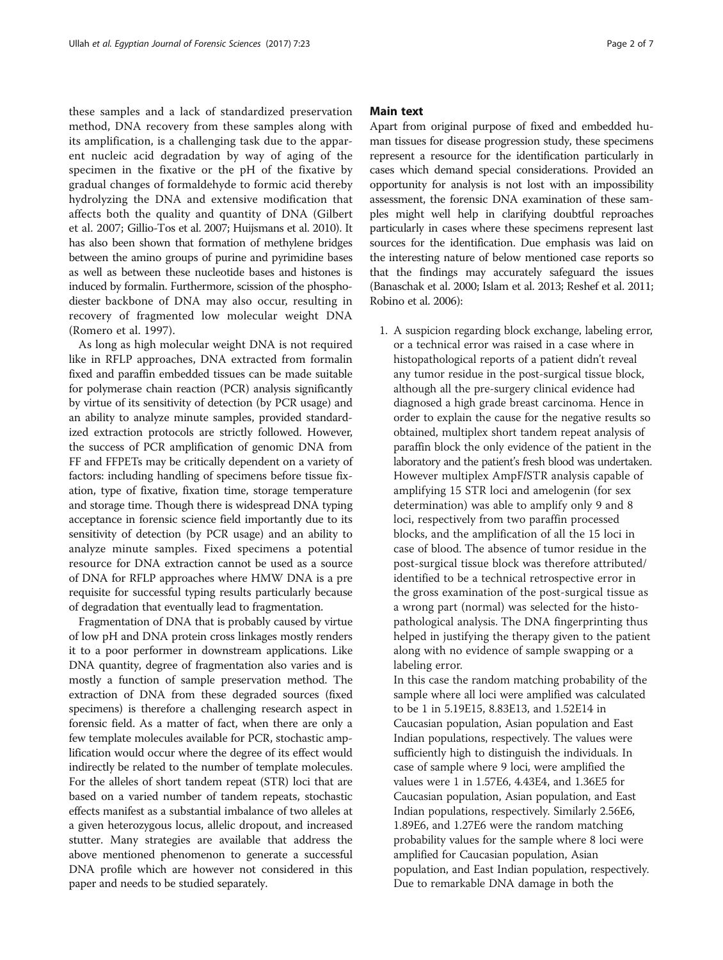these samples and a lack of standardized preservation method, DNA recovery from these samples along with its amplification, is a challenging task due to the apparent nucleic acid degradation by way of aging of the specimen in the fixative or the pH of the fixative by gradual changes of formaldehyde to formic acid thereby hydrolyzing the DNA and extensive modification that affects both the quality and quantity of DNA (Gilbert et al. [2007;](#page-6-0) Gillio-Tos et al. [2007](#page-6-0); Huijsmans et al. [2010\)](#page-6-0). It has also been shown that formation of methylene bridges between the amino groups of purine and pyrimidine bases as well as between these nucleotide bases and histones is induced by formalin. Furthermore, scission of the phosphodiester backbone of DNA may also occur, resulting in recovery of fragmented low molecular weight DNA (Romero et al. [1997\)](#page-6-0).

As long as high molecular weight DNA is not required like in RFLP approaches, DNA extracted from formalin fixed and paraffin embedded tissues can be made suitable for polymerase chain reaction (PCR) analysis significantly by virtue of its sensitivity of detection (by PCR usage) and an ability to analyze minute samples, provided standardized extraction protocols are strictly followed. However, the success of PCR amplification of genomic DNA from FF and FFPETs may be critically dependent on a variety of factors: including handling of specimens before tissue fixation, type of fixative, fixation time, storage temperature and storage time. Though there is widespread DNA typing acceptance in forensic science field importantly due to its sensitivity of detection (by PCR usage) and an ability to analyze minute samples. Fixed specimens a potential resource for DNA extraction cannot be used as a source of DNA for RFLP approaches where HMW DNA is a pre requisite for successful typing results particularly because of degradation that eventually lead to fragmentation.

Fragmentation of DNA that is probably caused by virtue of low pH and DNA protein cross linkages mostly renders it to a poor performer in downstream applications. Like DNA quantity, degree of fragmentation also varies and is mostly a function of sample preservation method. The extraction of DNA from these degraded sources (fixed specimens) is therefore a challenging research aspect in forensic field. As a matter of fact, when there are only a few template molecules available for PCR, stochastic amplification would occur where the degree of its effect would indirectly be related to the number of template molecules. For the alleles of short tandem repeat (STR) loci that are based on a varied number of tandem repeats, stochastic effects manifest as a substantial imbalance of two alleles at a given heterozygous locus, allelic dropout, and increased stutter. Many strategies are available that address the above mentioned phenomenon to generate a successful DNA profile which are however not considered in this paper and needs to be studied separately.

# Main text

Apart from original purpose of fixed and embedded human tissues for disease progression study, these specimens represent a resource for the identification particularly in cases which demand special considerations. Provided an opportunity for analysis is not lost with an impossibility assessment, the forensic DNA examination of these samples might well help in clarifying doubtful reproaches particularly in cases where these specimens represent last sources for the identification. Due emphasis was laid on the interesting nature of below mentioned case reports so that the findings may accurately safeguard the issues (Banaschak et al. [2000;](#page-6-0) Islam et al. [2013](#page-6-0); Reshef et al. [2011](#page-6-0); Robino et al. [2006](#page-6-0)):

1. A suspicion regarding block exchange, labeling error, or a technical error was raised in a case where in histopathological reports of a patient didn't reveal any tumor residue in the post-surgical tissue block, although all the pre-surgery clinical evidence had diagnosed a high grade breast carcinoma. Hence in order to explain the cause for the negative results so obtained, multiplex short tandem repeat analysis of paraffin block the only evidence of the patient in the laboratory and the patient's fresh blood was undertaken. However multiplex AmpFlSTR analysis capable of amplifying 15 STR loci and amelogenin (for sex determination) was able to amplify only 9 and 8 loci, respectively from two paraffin processed blocks, and the amplification of all the 15 loci in case of blood. The absence of tumor residue in the post-surgical tissue block was therefore attributed/ identified to be a technical retrospective error in the gross examination of the post-surgical tissue as a wrong part (normal) was selected for the histopathological analysis. The DNA fingerprinting thus helped in justifying the therapy given to the patient along with no evidence of sample swapping or a labeling error.

In this case the random matching probability of the sample where all loci were amplified was calculated to be 1 in 5.19E15, 8.83E13, and 1.52E14 in Caucasian population, Asian population and East Indian populations, respectively. The values were sufficiently high to distinguish the individuals. In case of sample where 9 loci, were amplified the values were 1 in 1.57E6, 4.43E4, and 1.36E5 for Caucasian population, Asian population, and East Indian populations, respectively. Similarly 2.56E6, 1.89E6, and 1.27E6 were the random matching probability values for the sample where 8 loci were amplified for Caucasian population, Asian population, and East Indian population, respectively. Due to remarkable DNA damage in both the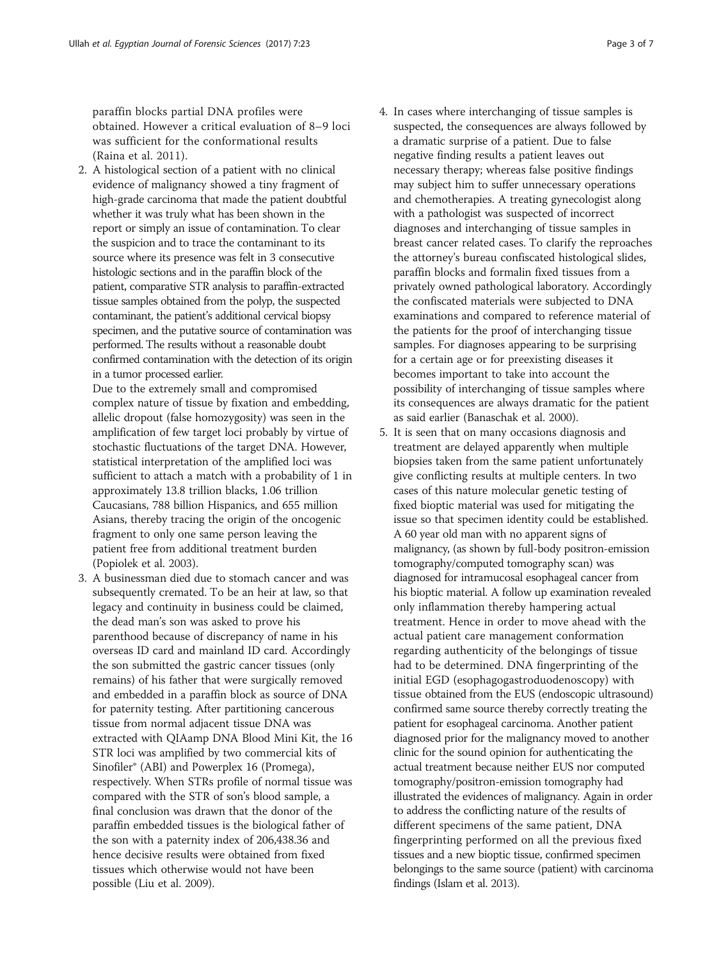paraffin blocks partial DNA profiles were obtained. However a critical evaluation of 8–9 loci was sufficient for the conformational results (Raina et al. [2011](#page-6-0)).

2. A histological section of a patient with no clinical evidence of malignancy showed a tiny fragment of high-grade carcinoma that made the patient doubtful whether it was truly what has been shown in the report or simply an issue of contamination. To clear the suspicion and to trace the contaminant to its source where its presence was felt in 3 consecutive histologic sections and in the paraffin block of the patient, comparative STR analysis to paraffin-extracted tissue samples obtained from the polyp, the suspected contaminant, the patient's additional cervical biopsy specimen, and the putative source of contamination was performed. The results without a reasonable doubt confirmed contamination with the detection of its origin in a tumor processed earlier.

Due to the extremely small and compromised complex nature of tissue by fixation and embedding, allelic dropout (false homozygosity) was seen in the amplification of few target loci probably by virtue of stochastic fluctuations of the target DNA. However, statistical interpretation of the amplified loci was sufficient to attach a match with a probability of 1 in approximately 13.8 trillion blacks, 1.06 trillion Caucasians, 788 billion Hispanics, and 655 million Asians, thereby tracing the origin of the oncogenic fragment to only one same person leaving the patient free from additional treatment burden (Popiolek et al. [2003](#page-6-0)).

3. A businessman died due to stomach cancer and was subsequently cremated. To be an heir at law, so that legacy and continuity in business could be claimed, the dead man's son was asked to prove his parenthood because of discrepancy of name in his overseas ID card and mainland ID card. Accordingly the son submitted the gastric cancer tissues (only remains) of his father that were surgically removed and embedded in a paraffin block as source of DNA for paternity testing. After partitioning cancerous tissue from normal adjacent tissue DNA was extracted with QIAamp DNA Blood Mini Kit, the 16 STR loci was amplified by two commercial kits of Sinofiler® (ABI) and Powerplex 16 (Promega), respectively. When STRs profile of normal tissue was compared with the STR of son's blood sample, a final conclusion was drawn that the donor of the paraffin embedded tissues is the biological father of the son with a paternity index of 206,438.36 and hence decisive results were obtained from fixed tissues which otherwise would not have been possible (Liu et al. [2009\)](#page-6-0).

- 4. In cases where interchanging of tissue samples is suspected, the consequences are always followed by a dramatic surprise of a patient. Due to false negative finding results a patient leaves out necessary therapy; whereas false positive findings may subject him to suffer unnecessary operations and chemotherapies. A treating gynecologist along with a pathologist was suspected of incorrect diagnoses and interchanging of tissue samples in breast cancer related cases. To clarify the reproaches the attorney's bureau confiscated histological slides, paraffin blocks and formalin fixed tissues from a privately owned pathological laboratory. Accordingly the confiscated materials were subjected to DNA examinations and compared to reference material of the patients for the proof of interchanging tissue samples. For diagnoses appearing to be surprising for a certain age or for preexisting diseases it becomes important to take into account the possibility of interchanging of tissue samples where its consequences are always dramatic for the patient as said earlier (Banaschak et al. [2000](#page-6-0)).
- 5. It is seen that on many occasions diagnosis and treatment are delayed apparently when multiple biopsies taken from the same patient unfortunately give conflicting results at multiple centers. In two cases of this nature molecular genetic testing of fixed bioptic material was used for mitigating the issue so that specimen identity could be established. A 60 year old man with no apparent signs of malignancy, (as shown by full-body positron-emission tomography/computed tomography scan) was diagnosed for intramucosal esophageal cancer from his bioptic material. A follow up examination revealed only inflammation thereby hampering actual treatment. Hence in order to move ahead with the actual patient care management conformation regarding authenticity of the belongings of tissue had to be determined. DNA fingerprinting of the initial EGD (esophagogastroduodenoscopy) with tissue obtained from the EUS (endoscopic ultrasound) confirmed same source thereby correctly treating the patient for esophageal carcinoma. Another patient diagnosed prior for the malignancy moved to another clinic for the sound opinion for authenticating the actual treatment because neither EUS nor computed tomography/positron-emission tomography had illustrated the evidences of malignancy. Again in order to address the conflicting nature of the results of different specimens of the same patient, DNA fingerprinting performed on all the previous fixed tissues and a new bioptic tissue, confirmed specimen belongings to the same source (patient) with carcinoma findings (Islam et al. [2013](#page-6-0)).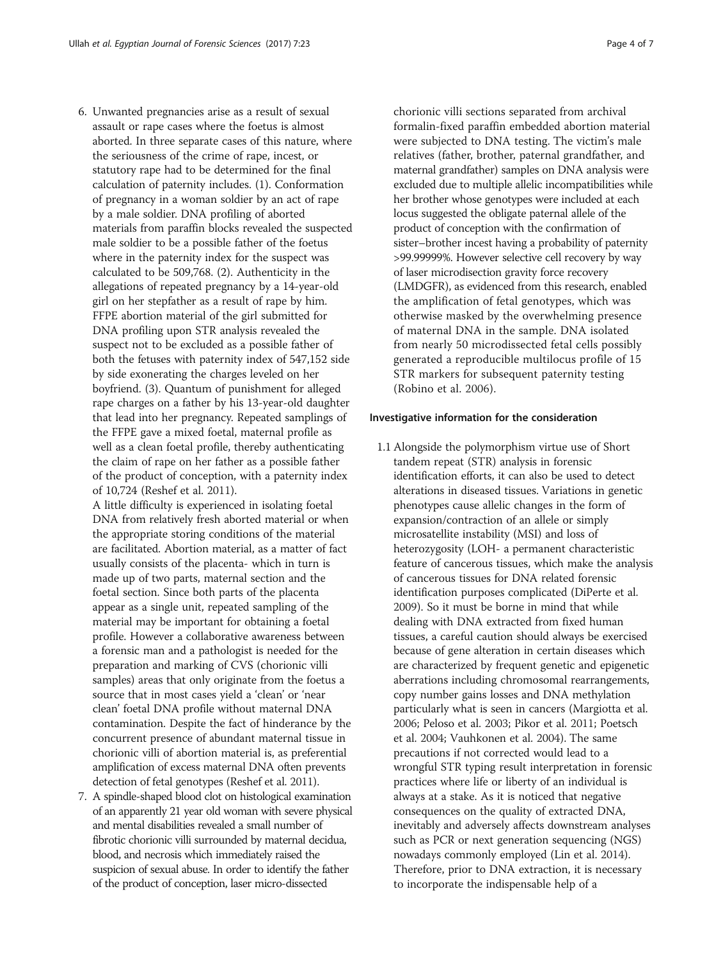6. Unwanted pregnancies arise as a result of sexual assault or rape cases where the foetus is almost aborted. In three separate cases of this nature, where the seriousness of the crime of rape, incest, or statutory rape had to be determined for the final calculation of paternity includes. (1). Conformation of pregnancy in a woman soldier by an act of rape by a male soldier. DNA profiling of aborted materials from paraffin blocks revealed the suspected male soldier to be a possible father of the foetus where in the paternity index for the suspect was calculated to be 509,768. (2). Authenticity in the allegations of repeated pregnancy by a 14-year-old girl on her stepfather as a result of rape by him. FFPE abortion material of the girl submitted for DNA profiling upon STR analysis revealed the suspect not to be excluded as a possible father of both the fetuses with paternity index of 547,152 side by side exonerating the charges leveled on her boyfriend. (3). Quantum of punishment for alleged rape charges on a father by his 13-year-old daughter that lead into her pregnancy. Repeated samplings of the FFPE gave a mixed foetal, maternal profile as well as a clean foetal profile, thereby authenticating the claim of rape on her father as a possible father of the product of conception, with a paternity index of 10,724 (Reshef et al. [2011\)](#page-6-0).

A little difficulty is experienced in isolating foetal DNA from relatively fresh aborted material or when the appropriate storing conditions of the material are facilitated. Abortion material, as a matter of fact usually consists of the placenta- which in turn is made up of two parts, maternal section and the foetal section. Since both parts of the placenta appear as a single unit, repeated sampling of the material may be important for obtaining a foetal profile. However a collaborative awareness between a forensic man and a pathologist is needed for the preparation and marking of CVS (chorionic villi samples) areas that only originate from the foetus a source that in most cases yield a 'clean' or 'near clean' foetal DNA profile without maternal DNA contamination. Despite the fact of hinderance by the concurrent presence of abundant maternal tissue in chorionic villi of abortion material is, as preferential amplification of excess maternal DNA often prevents detection of fetal genotypes (Reshef et al. [2011](#page-6-0)).

7. A spindle-shaped blood clot on histological examination of an apparently 21 year old woman with severe physical and mental disabilities revealed a small number of fibrotic chorionic villi surrounded by maternal decidua, blood, and necrosis which immediately raised the suspicion of sexual abuse. In order to identify the father of the product of conception, laser micro-dissected

chorionic villi sections separated from archival formalin-fixed paraffin embedded abortion material were subjected to DNA testing. The victim's male relatives (father, brother, paternal grandfather, and maternal grandfather) samples on DNA analysis were excluded due to multiple allelic incompatibilities while her brother whose genotypes were included at each locus suggested the obligate paternal allele of the product of conception with the confirmation of sister–brother incest having a probability of paternity >99.99999%. However selective cell recovery by way of laser microdisection gravity force recovery (LMDGFR), as evidenced from this research, enabled the amplification of fetal genotypes, which was otherwise masked by the overwhelming presence of maternal DNA in the sample. DNA isolated from nearly 50 microdissected fetal cells possibly generated a reproducible multilocus profile of 15 STR markers for subsequent paternity testing (Robino et al. [2006](#page-6-0)).

### Investigative information for the consideration

1.1 Alongside the polymorphism virtue use of Short tandem repeat (STR) analysis in forensic identification efforts, it can also be used to detect alterations in diseased tissues. Variations in genetic phenotypes cause allelic changes in the form of expansion/contraction of an allele or simply microsatellite instability (MSI) and loss of heterozygosity (LOH- a permanent characteristic feature of cancerous tissues, which make the analysis of cancerous tissues for DNA related forensic identification purposes complicated (DiPerte et al. [2009\)](#page-6-0). So it must be borne in mind that while dealing with DNA extracted from fixed human tissues, a careful caution should always be exercised because of gene alteration in certain diseases which are characterized by frequent genetic and epigenetic aberrations including chromosomal rearrangements, copy number gains losses and DNA methylation particularly what is seen in cancers (Margiotta et al. [2006;](#page-6-0) Peloso et al. [2003;](#page-6-0) Pikor et al. [2011](#page-6-0); Poetsch et al. [2004;](#page-6-0) Vauhkonen et al. [2004\)](#page-6-0). The same precautions if not corrected would lead to a wrongful STR typing result interpretation in forensic practices where life or liberty of an individual is always at a stake. As it is noticed that negative consequences on the quality of extracted DNA, inevitably and adversely affects downstream analyses such as PCR or next generation sequencing (NGS) nowadays commonly employed (Lin et al. [2014](#page-6-0)). Therefore, prior to DNA extraction, it is necessary to incorporate the indispensable help of a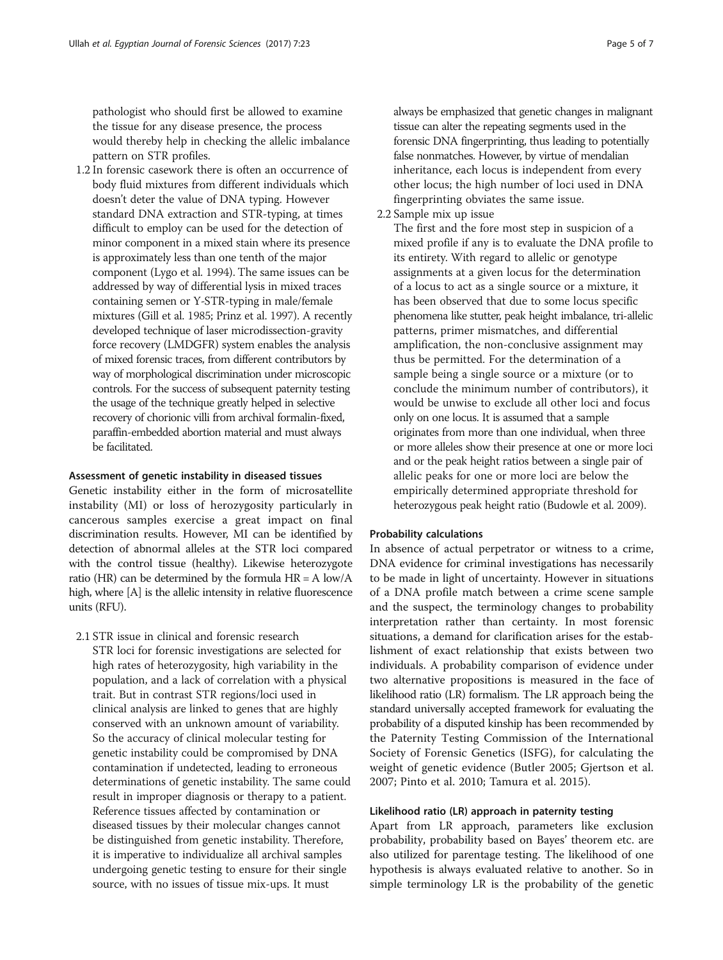pathologist who should first be allowed to examine the tissue for any disease presence, the process would thereby help in checking the allelic imbalance pattern on STR profiles.

1.2 In forensic casework there is often an occurrence of body fluid mixtures from different individuals which doesn't deter the value of DNA typing. However standard DNA extraction and STR-typing, at times difficult to employ can be used for the detection of minor component in a mixed stain where its presence is approximately less than one tenth of the major component (Lygo et al. [1994\)](#page-6-0). The same issues can be addressed by way of differential lysis in mixed traces containing semen or Y-STR-typing in male/female mixtures (Gill et al. [1985;](#page-6-0) Prinz et al. [1997\)](#page-6-0). A recently developed technique of laser microdissection-gravity force recovery (LMDGFR) system enables the analysis of mixed forensic traces, from different contributors by way of morphological discrimination under microscopic controls. For the success of subsequent paternity testing the usage of the technique greatly helped in selective recovery of chorionic villi from archival formalin-fixed, paraffin-embedded abortion material and must always be facilitated.

### Assessment of genetic instability in diseased tissues

Genetic instability either in the form of microsatellite instability (MI) or loss of herozygosity particularly in cancerous samples exercise a great impact on final discrimination results. However, MI can be identified by detection of abnormal alleles at the STR loci compared with the control tissue (healthy). Likewise heterozygote ratio (HR) can be determined by the formula  $HR = A$  low/A high, where [A] is the allelic intensity in relative fluorescence units (RFU).

2.1 STR issue in clinical and forensic research STR loci for forensic investigations are selected for high rates of heterozygosity, high variability in the population, and a lack of correlation with a physical trait. But in contrast STR regions/loci used in clinical analysis are linked to genes that are highly conserved with an unknown amount of variability. So the accuracy of clinical molecular testing for genetic instability could be compromised by DNA contamination if undetected, leading to erroneous determinations of genetic instability. The same could result in improper diagnosis or therapy to a patient. Reference tissues affected by contamination or diseased tissues by their molecular changes cannot be distinguished from genetic instability. Therefore, it is imperative to individualize all archival samples undergoing genetic testing to ensure for their single source, with no issues of tissue mix-ups. It must

always be emphasized that genetic changes in malignant tissue can alter the repeating segments used in the forensic DNA fingerprinting, thus leading to potentially false nonmatches. However, by virtue of mendalian inheritance, each locus is independent from every other locus; the high number of loci used in DNA fingerprinting obviates the same issue.

2.2 Sample mix up issue

The first and the fore most step in suspicion of a mixed profile if any is to evaluate the DNA profile to its entirety. With regard to allelic or genotype assignments at a given locus for the determination of a locus to act as a single source or a mixture, it has been observed that due to some locus specific phenomena like stutter, peak height imbalance, tri-allelic patterns, primer mismatches, and differential amplification, the non-conclusive assignment may thus be permitted. For the determination of a sample being a single source or a mixture (or to conclude the minimum number of contributors), it would be unwise to exclude all other loci and focus only on one locus. It is assumed that a sample originates from more than one individual, when three or more alleles show their presence at one or more loci and or the peak height ratios between a single pair of allelic peaks for one or more loci are below the empirically determined appropriate threshold for heterozygous peak height ratio (Budowle et al. [2009](#page-6-0)).

# Probability calculations

In absence of actual perpetrator or witness to a crime, DNA evidence for criminal investigations has necessarily to be made in light of uncertainty. However in situations of a DNA profile match between a crime scene sample and the suspect, the terminology changes to probability interpretation rather than certainty. In most forensic situations, a demand for clarification arises for the establishment of exact relationship that exists between two individuals. A probability comparison of evidence under two alternative propositions is measured in the face of likelihood ratio (LR) formalism. The LR approach being the standard universally accepted framework for evaluating the probability of a disputed kinship has been recommended by the Paternity Testing Commission of the International Society of Forensic Genetics (ISFG), for calculating the weight of genetic evidence (Butler [2005;](#page-6-0) Gjertson et al. [2007;](#page-6-0) Pinto et al. [2010](#page-6-0); Tamura et al. [2015](#page-6-0)).

# Likelihood ratio (LR) approach in paternity testing

Apart from LR approach, parameters like exclusion probability, probability based on Bayes' theorem etc. are also utilized for parentage testing. The likelihood of one hypothesis is always evaluated relative to another. So in simple terminology LR is the probability of the genetic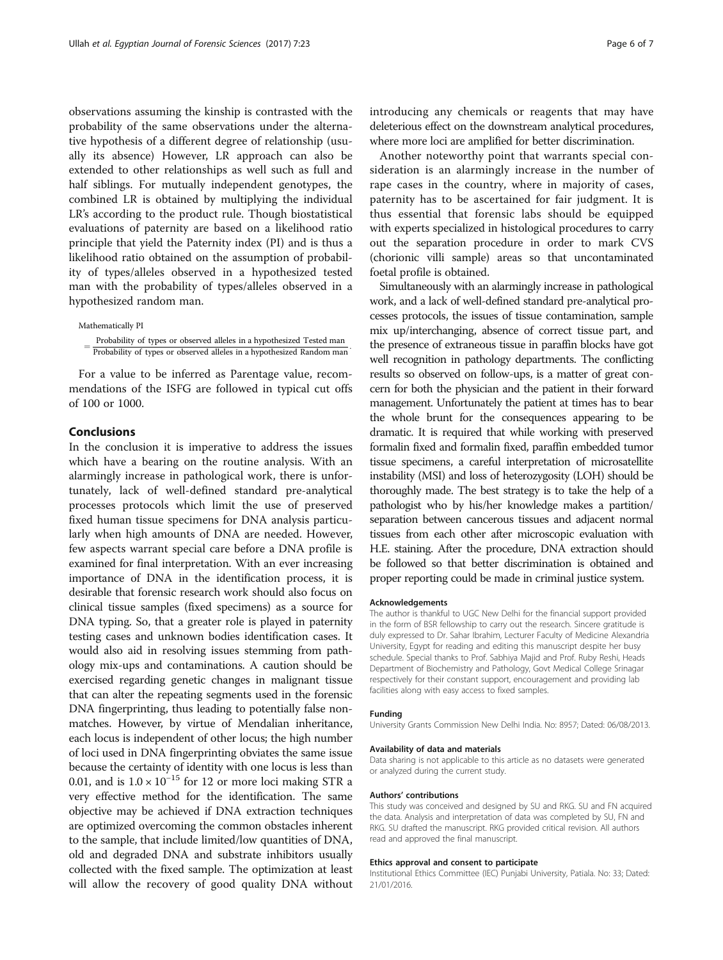observations assuming the kinship is contrasted with the probability of the same observations under the alternative hypothesis of a different degree of relationship (usually its absence) However, LR approach can also be extended to other relationships as well such as full and half siblings. For mutually independent genotypes, the combined LR is obtained by multiplying the individual LR's according to the product rule. Though biostatistical evaluations of paternity are based on a likelihood ratio principle that yield the Paternity index (PI) and is thus a likelihood ratio obtained on the assumption of probability of types/alleles observed in a hypothesized tested man with the probability of types/alleles observed in a hypothesized random man.

Mathematically PI Probability of types or observed alleles in a hypothesized Tested man Probability of types or observed alleles in a hypothesized Random man

For a value to be inferred as Parentage value, recommendations of the ISFG are followed in typical cut offs of 100 or 1000.

# Conclusions

In the conclusion it is imperative to address the issues which have a bearing on the routine analysis. With an alarmingly increase in pathological work, there is unfortunately, lack of well-defined standard pre-analytical processes protocols which limit the use of preserved fixed human tissue specimens for DNA analysis particularly when high amounts of DNA are needed. However, few aspects warrant special care before a DNA profile is examined for final interpretation. With an ever increasing importance of DNA in the identification process, it is desirable that forensic research work should also focus on clinical tissue samples (fixed specimens) as a source for DNA typing. So, that a greater role is played in paternity testing cases and unknown bodies identification cases. It would also aid in resolving issues stemming from pathology mix-ups and contaminations. A caution should be exercised regarding genetic changes in malignant tissue that can alter the repeating segments used in the forensic DNA fingerprinting, thus leading to potentially false nonmatches. However, by virtue of Mendalian inheritance, each locus is independent of other locus; the high number of loci used in DNA fingerprinting obviates the same issue because the certainty of identity with one locus is less than 0.01, and is  $1.0 \times 10^{-15}$  for 12 or more loci making STR a very effective method for the identification. The same objective may be achieved if DNA extraction techniques are optimized overcoming the common obstacles inherent to the sample, that include limited/low quantities of DNA, old and degraded DNA and substrate inhibitors usually collected with the fixed sample. The optimization at least will allow the recovery of good quality DNA without

introducing any chemicals or reagents that may have deleterious effect on the downstream analytical procedures, where more loci are amplified for better discrimination.

Another noteworthy point that warrants special consideration is an alarmingly increase in the number of rape cases in the country, where in majority of cases, paternity has to be ascertained for fair judgment. It is thus essential that forensic labs should be equipped with experts specialized in histological procedures to carry out the separation procedure in order to mark CVS (chorionic villi sample) areas so that uncontaminated foetal profile is obtained.

Simultaneously with an alarmingly increase in pathological work, and a lack of well-defined standard pre-analytical processes protocols, the issues of tissue contamination, sample mix up/interchanging, absence of correct tissue part, and the presence of extraneous tissue in paraffin blocks have got well recognition in pathology departments. The conflicting results so observed on follow-ups, is a matter of great concern for both the physician and the patient in their forward management. Unfortunately the patient at times has to bear the whole brunt for the consequences appearing to be dramatic. It is required that while working with preserved formalin fixed and formalin fixed, paraffin embedded tumor tissue specimens, a careful interpretation of microsatellite instability (MSI) and loss of heterozygosity (LOH) should be thoroughly made. The best strategy is to take the help of a pathologist who by his/her knowledge makes a partition/ separation between cancerous tissues and adjacent normal tissues from each other after microscopic evaluation with H.E. staining. After the procedure, DNA extraction should be followed so that better discrimination is obtained and proper reporting could be made in criminal justice system.

#### Acknowledgements

The author is thankful to UGC New Delhi for the financial support provided in the form of BSR fellowship to carry out the research. Sincere gratitude is duly expressed to Dr. Sahar Ibrahim, Lecturer Faculty of Medicine Alexandria University, Egypt for reading and editing this manuscript despite her busy schedule. Special thanks to Prof. Sabhiya Majid and Prof. Ruby Reshi, Heads Department of Biochemistry and Pathology, Govt Medical College Srinagar respectively for their constant support, encouragement and providing lab facilities along with easy access to fixed samples.

#### Funding

University Grants Commission New Delhi India. No: 8957; Dated: 06/08/2013.

#### Availability of data and materials

Data sharing is not applicable to this article as no datasets were generated or analyzed during the current study.

#### Authors' contributions

This study was conceived and designed by SU and RKG. SU and FN acquired the data. Analysis and interpretation of data was completed by SU, FN and RKG. SU drafted the manuscript. RKG provided critical revision. All authors read and approved the final manuscript.

#### Ethics approval and consent to participate

Institutional Ethics Committee (IEC) Punjabi University, Patiala. No: 33; Dated: 21/01/2016.